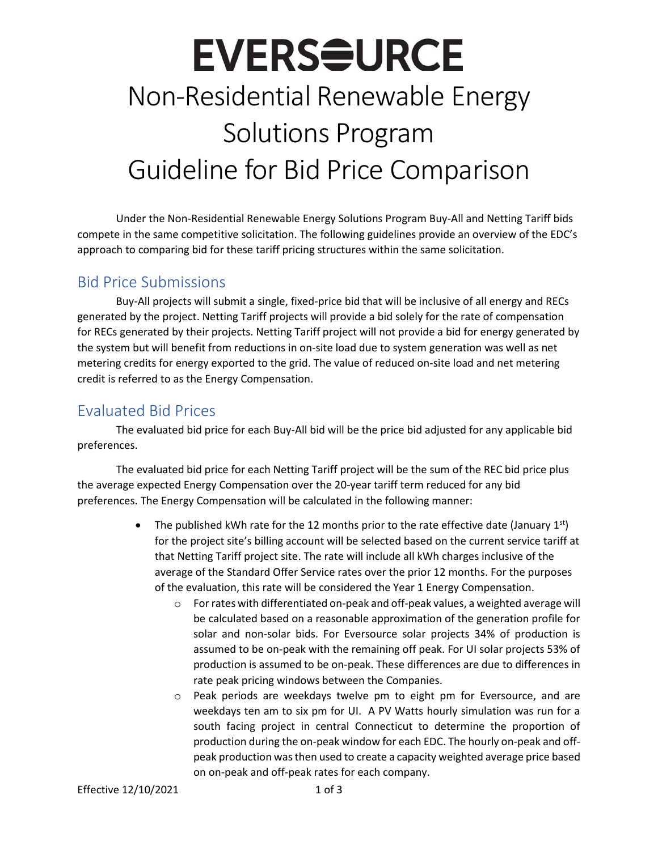### **EVERS<del>S</del>URCE** Non-Residential Renewable Energy Solutions Program Guideline for Bid Price Comparison

Under the Non-Residential Renewable Energy Solutions Program Buy-All and Netting Tariff bids compete in the same competitive solicitation. The following guidelines provide an overview of the EDC's approach to comparing bid for these tariff pricing structures within the same solicitation.

#### Bid Price Submissions

Buy-All projects will submit a single, fixed-price bid that will be inclusive of all energy and RECs generated by the project. Netting Tariff projects will provide a bid solely for the rate of compensation for RECs generated by their projects. Netting Tariff project will not provide a bid for energy generated by the system but will benefit from reductions in on-site load due to system generation was well as net metering credits for energy exported to the grid. The value of reduced on-site load and net metering credit is referred to as the Energy Compensation.

### Evaluated Bid Prices

The evaluated bid price for each Buy-All bid will be the price bid adjusted for any applicable bid preferences.

The evaluated bid price for each Netting Tariff project will be the sum of the REC bid price plus the average expected Energy Compensation over the 20-year tariff term reduced for any bid preferences. The Energy Compensation will be calculated in the following manner:

- The published kWh rate for the 12 months prior to the rate effective date (January  $1^{st}$ ) for the project site's billing account will be selected based on the current service tariff at that Netting Tariff project site. The rate will include all kWh charges inclusive of the average of the Standard Offer Service rates over the prior 12 months. For the purposes of the evaluation, this rate will be considered the Year 1 Energy Compensation.
	- $\circ$  For rates with differentiated on-peak and off-peak values, a weighted average will be calculated based on a reasonable approximation of the generation profile for solar and non-solar bids. For Eversource solar projects 34% of production is assumed to be on-peak with the remaining off peak. For UI solar projects 53% of production is assumed to be on-peak. These differences are due to differences in rate peak pricing windows between the Companies.
	- o Peak periods are weekdays twelve pm to eight pm for Eversource, and are weekdays ten am to six pm for UI. A PV Watts hourly simulation was run for a south facing project in central Connecticut to determine the proportion of production during the on-peak window for each EDC. The hourly on-peak and offpeak production was then used to create a capacity weighted average price based on on-peak and off-peak rates for each company.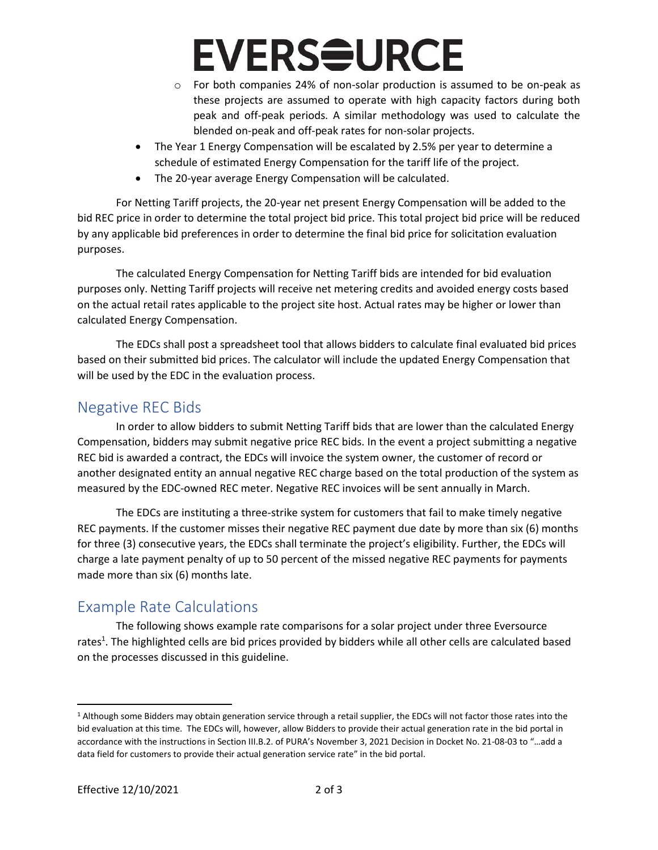## **EVERS<del>Q</del>URCE**

- o For both companies 24% of non-solar production is assumed to be on-peak as these projects are assumed to operate with high capacity factors during both peak and off-peak periods. A similar methodology was used to calculate the blended on-peak and off-peak rates for non-solar projects.
- The Year 1 Energy Compensation will be escalated by 2.5% per year to determine a schedule of estimated Energy Compensation for the tariff life of the project.
- The 20-year average Energy Compensation will be calculated.

For Netting Tariff projects, the 20-year net present Energy Compensation will be added to the bid REC price in order to determine the total project bid price. This total project bid price will be reduced by any applicable bid preferences in order to determine the final bid price for solicitation evaluation purposes.

The calculated Energy Compensation for Netting Tariff bids are intended for bid evaluation purposes only. Netting Tariff projects will receive net metering credits and avoided energy costs based on the actual retail rates applicable to the project site host. Actual rates may be higher or lower than calculated Energy Compensation.

The EDCs shall post a spreadsheet tool that allows bidders to calculate final evaluated bid prices based on their submitted bid prices. The calculator will include the updated Energy Compensation that will be used by the EDC in the evaluation process.

### Negative REC Bids

In order to allow bidders to submit Netting Tariff bids that are lower than the calculated Energy Compensation, bidders may submit negative price REC bids. In the event a project submitting a negative REC bid is awarded a contract, the EDCs will invoice the system owner, the customer of record or another designated entity an annual negative REC charge based on the total production of the system as measured by the EDC-owned REC meter. Negative REC invoices will be sent annually in March.

The EDCs are instituting a three-strike system for customers that fail to make timely negative REC payments. If the customer misses their negative REC payment due date by more than six (6) months for three (3) consecutive years, the EDCs shall terminate the project's eligibility. Further, the EDCs will charge a late payment penalty of up to 50 percent of the missed negative REC payments for payments made more than six (6) months late.

### Example Rate Calculations

The following shows example rate comparisons for a solar project under three Eversource rates<sup>1</sup>. The highlighted cells are bid prices provided by bidders while all other cells are calculated based on the processes discussed in this guideline.

<sup>1</sup> Although some Bidders may obtain generation service through a retail supplier, the EDCs will not factor those rates into the bid evaluation at this time. The EDCs will, however, allow Bidders to provide their actual generation rate in the bid portal in accordance with the instructions in Section III.B.2. of PURA's November 3, 2021 Decision in Docket No. 21-08-03 to "…add a data field for customers to provide their actual generation service rate" in the bid portal.